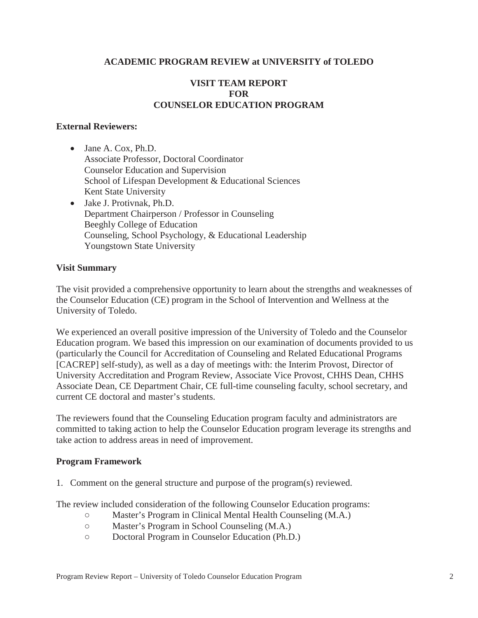# **ACADEMIC PROGRAM REVIEW at UNIVERSITY of TOLEDO**

# **VISIT TEAM REPORT FOR COUNSELOR EDUCATION PROGRAM**

#### **External Reviewers:**

- $\bullet$  Jane A. Cox, Ph.D. Associate Professor, Doctoral Coordinator Counselor Education and Supervision School of Lifespan Development & Educational Sciences Kent State University
- $\bullet$  Jake J. Protivnak, Ph.D. Department Chairperson / Professor in Counseling Beeghly College of Education Counseling, School Psychology, & Educational Leadership Youngstown State University

#### **Visit Summary**

The visit provided a comprehensive opportunity to learn about the strengths and weaknesses of the Counselor Education (CE) program in the School of Intervention and Wellness at the University of Toledo.

We experienced an overall positive impression of the University of Toledo and the Counselor Education program. We based this impression on our examination of documents provided to us (particularly the Council for Accreditation of Counseling and Related Educational Programs [CACREP] self-study), as well as a day of meetings with: the Interim Provost, Director of University Accreditation and Program Review, Associate Vice Provost, CHHS Dean, CHHS Associate Dean, CE Department Chair, CE full-time counseling faculty, school secretary, and current CE doctoral and master's students.

The reviewers found that the Counseling Education program faculty and administrators are committed to taking action to help the Counselor Education program leverage its strengths and take action to address areas in need of improvement.

#### **Program Framework**

1. Comment on the general structure and purpose of the program(s) reviewed.

The review included consideration of the following Counselor Education programs:

- ż Master's Program in Clinical Mental Health Counseling (M.A.)
- ż Master's Program in School Counseling (M.A.)
- ż Doctoral Program in Counselor Education (Ph.D.)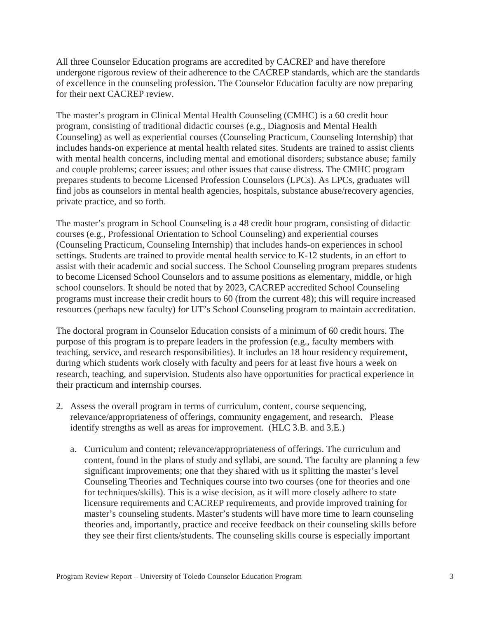All three Counselor Education programs are accredited by CACREP and have therefore undergone rigorous review of their adherence to the CACREP standards, which are the standards of excellence in the counseling profession. The Counselor Education faculty are now preparing for their next CACREP review.

The master's program in Clinical Mental Health Counseling (CMHC) is a 60 credit hour program, consisting of traditional didactic courses (e.g., Diagnosis and Mental Health Counseling) as well as experiential courses (Counseling Practicum, Counseling Internship) that includes hands-on experience at mental health related sites. Students are trained to assist clients with mental health concerns, including mental and emotional disorders; substance abuse; family and couple problems; career issues; and other issues that cause distress. The CMHC program prepares students to become Licensed Profession Counselors (LPCs). As LPCs, graduates will find jobs as counselors in mental health agencies, hospitals, substance abuse/recovery agencies, private practice, and so forth.

The master's program in School Counseling is a 48 credit hour program, consisting of didactic courses (e.g., Professional Orientation to School Counseling) and experiential courses (Counseling Practicum, Counseling Internship) that includes hands-on experiences in school settings. Students are trained to provide mental health service to K-12 students, in an effort to assist with their academic and social success. The School Counseling program prepares students to become Licensed School Counselors and to assume positions as elementary, middle, or high school counselors. It should be noted that by 2023, CACREP accredited School Counseling programs must increase their credit hours to 60 (from the current 48); this will require increased resources (perhaps new faculty) for UT's School Counseling program to maintain accreditation.

The doctoral program in Counselor Education consists of a minimum of 60 credit hours. The purpose of this program is to prepare leaders in the profession (e.g., faculty members with teaching, service, and research responsibilities). It includes an 18 hour residency requirement, during which students work closely with faculty and peers for at least five hours a week on research, teaching, and supervision. Students also have opportunities for practical experience in their practicum and internship courses.

- 2. Assess the overall program in terms of curriculum, content, course sequencing, relevance/appropriateness of offerings, community engagement, and research. Please identify strengths as well as areas for improvement. (HLC 3.B. and 3.E.)
	- a. Curriculum and content; relevance/appropriateness of offerings. The curriculum and content, found in the plans of study and syllabi, are sound. The faculty are planning a few significant improvements; one that they shared with us it splitting the master's level Counseling Theories and Techniques course into two courses (one for theories and one for techniques/skills). This is a wise decision, as it will more closely adhere to state licensure requirements and CACREP requirements, and provide improved training for master's counseling students. Master's students will have more time to learn counseling theories and, importantly, practice and receive feedback on their counseling skills before they see their first clients/students. The counseling skills course is especially important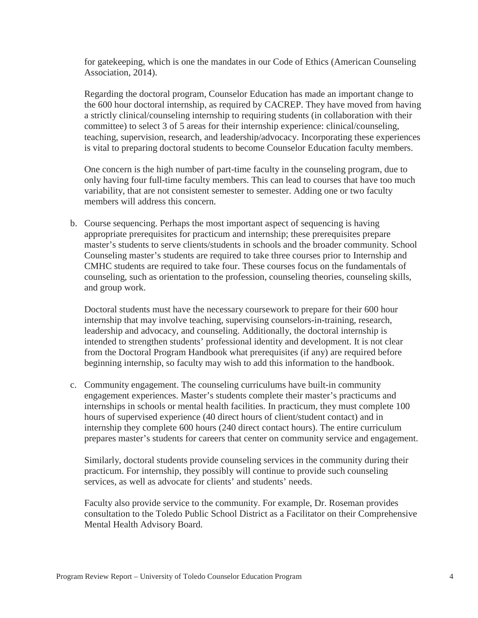for gatekeeping, which is one the mandates in our Code of Ethics (American Counseling Association, 2014).

Regarding the doctoral program, Counselor Education has made an important change to the 600 hour doctoral internship, as required by CACREP. They have moved from having a strictly clinical/counseling internship to requiring students (in collaboration with their committee) to select 3 of 5 areas for their internship experience: clinical/counseling, teaching, supervision, research, and leadership/advocacy. Incorporating these experiences is vital to preparing doctoral students to become Counselor Education faculty members.

One concern is the high number of part-time faculty in the counseling program, due to only having four full-time faculty members. This can lead to courses that have too much variability, that are not consistent semester to semester. Adding one or two faculty members will address this concern.

b. Course sequencing. Perhaps the most important aspect of sequencing is having appropriate prerequisites for practicum and internship; these prerequisites prepare master's students to serve clients/students in schools and the broader community. School Counseling master's students are required to take three courses prior to Internship and CMHC students are required to take four. These courses focus on the fundamentals of counseling, such as orientation to the profession, counseling theories, counseling skills, and group work.

Doctoral students must have the necessary coursework to prepare for their 600 hour internship that may involve teaching, supervising counselors-in-training, research, leadership and advocacy, and counseling. Additionally, the doctoral internship is intended to strengthen students' professional identity and development. It is not clear from the Doctoral Program Handbook what prerequisites (if any) are required before beginning internship, so faculty may wish to add this information to the handbook.

c. Community engagement. The counseling curriculums have built-in community engagement experiences. Master's students complete their master's practicums and internships in schools or mental health facilities. In practicum, they must complete 100 hours of supervised experience (40 direct hours of client/student contact) and in internship they complete 600 hours (240 direct contact hours). The entire curriculum prepares master's students for careers that center on community service and engagement.

Similarly, doctoral students provide counseling services in the community during their practicum. For internship, they possibly will continue to provide such counseling services, as well as advocate for clients' and students' needs.

Faculty also provide service to the community. For example, Dr. Roseman provides consultation to the Toledo Public School District as a Facilitator on their Comprehensive Mental Health Advisory Board.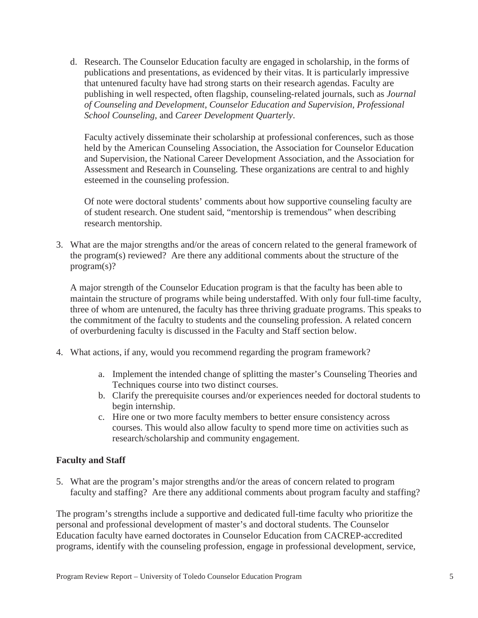d. Research. The Counselor Education faculty are engaged in scholarship, in the forms of publications and presentations, as evidenced by their vitas. It is particularly impressive that untenured faculty have had strong starts on their research agendas. Faculty are publishing in well respected, often flagship, counseling-related journals, such as *Journal of Counseling and Development*, *Counselor Education and Supervision, Professional School Counseling*, and *Career Development Quarterly*.

Faculty actively disseminate their scholarship at professional conferences, such as those held by the American Counseling Association, the Association for Counselor Education and Supervision, the National Career Development Association, and the Association for Assessment and Research in Counseling. These organizations are central to and highly esteemed in the counseling profession.

Of note were doctoral students' comments about how supportive counseling faculty are of student research. One student said, "mentorship is tremendous" when describing research mentorship.

3. What are the major strengths and/or the areas of concern related to the general framework of the program(s) reviewed? Are there any additional comments about the structure of the program(s)?

A major strength of the Counselor Education program is that the faculty has been able to maintain the structure of programs while being understaffed. With only four full-time faculty, three of whom are untenured, the faculty has three thriving graduate programs. This speaks to the commitment of the faculty to students and the counseling profession. A related concern of overburdening faculty is discussed in the Faculty and Staff section below.

- 4. What actions, if any, would you recommend regarding the program framework?
	- a. Implement the intended change of splitting the master's Counseling Theories and Techniques course into two distinct courses.
	- b. Clarify the prerequisite courses and/or experiences needed for doctoral students to begin internship.
	- c. Hire one or two more faculty members to better ensure consistency across courses. This would also allow faculty to spend more time on activities such as research/scholarship and community engagement.

# **Faculty and Staff**

5. What are the program's major strengths and/or the areas of concern related to program faculty and staffing? Are there any additional comments about program faculty and staffing?

The program's strengths include a supportive and dedicated full-time faculty who prioritize the personal and professional development of master's and doctoral students. The Counselor Education faculty have earned doctorates in Counselor Education from CACREP-accredited programs, identify with the counseling profession, engage in professional development, service,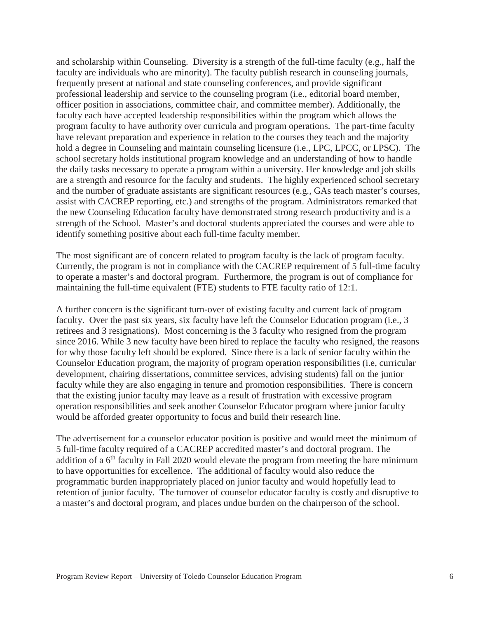and scholarship within Counseling. Diversity is a strength of the full-time faculty (e.g., half the faculty are individuals who are minority). The faculty publish research in counseling journals, frequently present at national and state counseling conferences, and provide significant professional leadership and service to the counseling program (i.e., editorial board member, officer position in associations, committee chair, and committee member). Additionally, the faculty each have accepted leadership responsibilities within the program which allows the program faculty to have authority over curricula and program operations. The part-time faculty have relevant preparation and experience in relation to the courses they teach and the majority hold a degree in Counseling and maintain counseling licensure (i.e., LPC, LPCC, or LPSC). The school secretary holds institutional program knowledge and an understanding of how to handle the daily tasks necessary to operate a program within a university. Her knowledge and job skills are a strength and resource for the faculty and students. The highly experienced school secretary and the number of graduate assistants are significant resources (e.g., GAs teach master's courses, assist with CACREP reporting, etc.) and strengths of the program. Administrators remarked that the new Counseling Education faculty have demonstrated strong research productivity and is a strength of the School. Master's and doctoral students appreciated the courses and were able to identify something positive about each full-time faculty member.

The most significant are of concern related to program faculty is the lack of program faculty. Currently, the program is not in compliance with the CACREP requirement of 5 full-time faculty to operate a master's and doctoral program. Furthermore, the program is out of compliance for maintaining the full-time equivalent (FTE) students to FTE faculty ratio of 12:1.

A further concern is the significant turn-over of existing faculty and current lack of program faculty. Over the past six years, six faculty have left the Counselor Education program (i.e., 3 retirees and 3 resignations). Most concerning is the 3 faculty who resigned from the program since 2016. While 3 new faculty have been hired to replace the faculty who resigned, the reasons for why those faculty left should be explored. Since there is a lack of senior faculty within the Counselor Education program, the majority of program operation responsibilities (i.e, curricular development, chairing dissertations, committee services, advising students) fall on the junior faculty while they are also engaging in tenure and promotion responsibilities. There is concern that the existing junior faculty may leave as a result of frustration with excessive program operation responsibilities and seek another Counselor Educator program where junior faculty would be afforded greater opportunity to focus and build their research line.

The advertisement for a counselor educator position is positive and would meet the minimum of 5 full-time faculty required of a CACREP accredited master's and doctoral program. The addition of a  $6<sup>th</sup>$  faculty in Fall 2020 would elevate the program from meeting the bare minimum to have opportunities for excellence. The additional of faculty would also reduce the programmatic burden inappropriately placed on junior faculty and would hopefully lead to retention of junior faculty. The turnover of counselor educator faculty is costly and disruptive to a master's and doctoral program, and places undue burden on the chairperson of the school.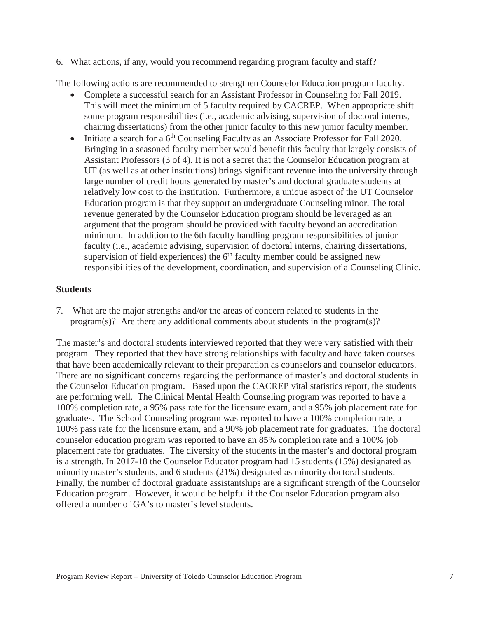6. What actions, if any, would you recommend regarding program faculty and staff?

The following actions are recommended to strengthen Counselor Education program faculty.

- Complete a successful search for an Assistant Professor in Counseling for Fall 2019. This will meet the minimum of 5 faculty required by CACREP. When appropriate shift some program responsibilities (i.e., academic advising, supervision of doctoral interns, chairing dissertations) from the other junior faculty to this new junior faculty member.
- $\bullet$  Initiate a search for a 6<sup>th</sup> Counseling Faculty as an Associate Professor for Fall 2020. Bringing in a seasoned faculty member would benefit this faculty that largely consists of Assistant Professors (3 of 4). It is not a secret that the Counselor Education program at UT (as well as at other institutions) brings significant revenue into the university through large number of credit hours generated by master's and doctoral graduate students at relatively low cost to the institution. Furthermore, a unique aspect of the UT Counselor Education program is that they support an undergraduate Counseling minor. The total revenue generated by the Counselor Education program should be leveraged as an argument that the program should be provided with faculty beyond an accreditation minimum. In addition to the 6th faculty handling program responsibilities of junior faculty (i.e., academic advising, supervision of doctoral interns, chairing dissertations, supervision of field experiences) the  $6<sup>th</sup>$  faculty member could be assigned new responsibilities of the development, coordination, and supervision of a Counseling Clinic.

### **Students**

7. What are the major strengths and/or the areas of concern related to students in the program(s)? Are there any additional comments about students in the program(s)?

The master's and doctoral students interviewed reported that they were very satisfied with their program. They reported that they have strong relationships with faculty and have taken courses that have been academically relevant to their preparation as counselors and counselor educators. There are no significant concerns regarding the performance of master's and doctoral students in the Counselor Education program. Based upon the CACREP vital statistics report, the students are performing well. The Clinical Mental Health Counseling program was reported to have a 100% completion rate, a 95% pass rate for the licensure exam, and a 95% job placement rate for graduates. The School Counseling program was reported to have a 100% completion rate, a 100% pass rate for the licensure exam, and a 90% job placement rate for graduates. The doctoral counselor education program was reported to have an 85% completion rate and a 100% job placement rate for graduates. The diversity of the students in the master's and doctoral program is a strength. In 2017-18 the Counselor Educator program had 15 students (15%) designated as minority master's students, and 6 students (21%) designated as minority doctoral students. Finally, the number of doctoral graduate assistantships are a significant strength of the Counselor Education program. However, it would be helpful if the Counselor Education program also offered a number of GA's to master's level students.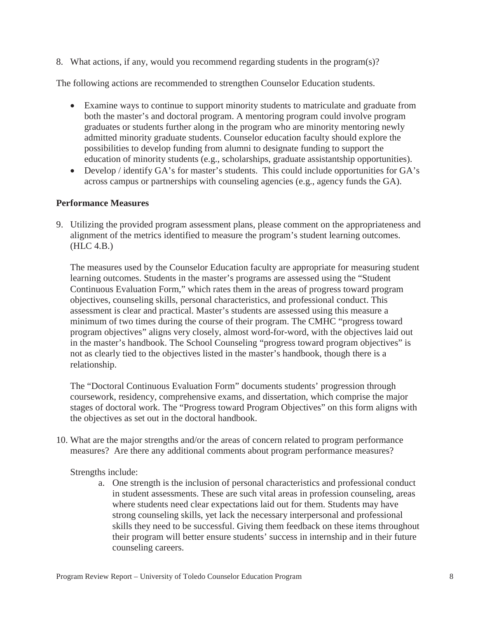8. What actions, if any, would you recommend regarding students in the program(s)?

The following actions are recommended to strengthen Counselor Education students.

- Examine ways to continue to support minority students to matriculate and graduate from both the master's and doctoral program. A mentoring program could involve program graduates or students further along in the program who are minority mentoring newly admitted minority graduate students. Counselor education faculty should explore the possibilities to develop funding from alumni to designate funding to support the education of minority students (e.g., scholarships, graduate assistantship opportunities).
- Develop / identify  $GA$ 's for master's students. This could include opportunities for  $GA$ 's across campus or partnerships with counseling agencies (e.g., agency funds the GA).

# **Performance Measures**

9. Utilizing the provided program assessment plans, please comment on the appropriateness and alignment of the metrics identified to measure the program's student learning outcomes. (HLC 4.B.)

The measures used by the Counselor Education faculty are appropriate for measuring student learning outcomes. Students in the master's programs are assessed using the "Student Continuous Evaluation Form," which rates them in the areas of progress toward program objectives, counseling skills, personal characteristics, and professional conduct. This assessment is clear and practical. Master's students are assessed using this measure a minimum of two times during the course of their program. The CMHC "progress toward program objectives" aligns very closely, almost word-for-word, with the objectives laid out in the master's handbook. The School Counseling "progress toward program objectives" is not as clearly tied to the objectives listed in the master's handbook, though there is a relationship.

The "Doctoral Continuous Evaluation Form" documents students' progression through coursework, residency, comprehensive exams, and dissertation, which comprise the major stages of doctoral work. The "Progress toward Program Objectives" on this form aligns with the objectives as set out in the doctoral handbook.

10. What are the major strengths and/or the areas of concern related to program performance measures? Are there any additional comments about program performance measures?

Strengths include:

a. One strength is the inclusion of personal characteristics and professional conduct in student assessments. These are such vital areas in profession counseling, areas where students need clear expectations laid out for them. Students may have strong counseling skills, yet lack the necessary interpersonal and professional skills they need to be successful. Giving them feedback on these items throughout their program will better ensure students' success in internship and in their future counseling careers.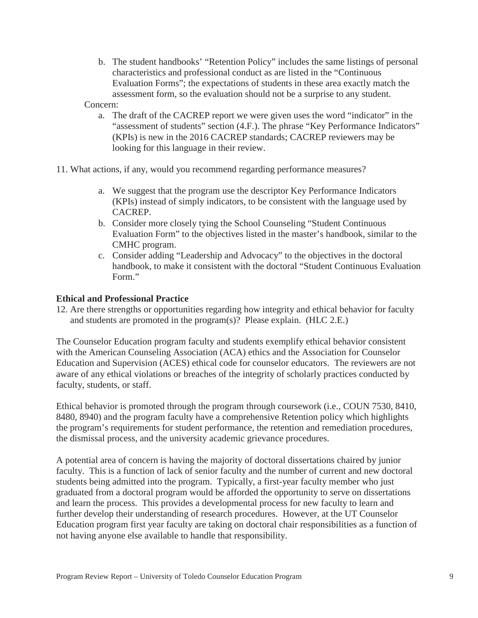b. The student handbooks' "Retention Policy" includes the same listings of personal characteristics and professional conduct as are listed in the "Continuous Evaluation Forms"; the expectations of students in these area exactly match the assessment form, so the evaluation should not be a surprise to any student.

Concern:

- a. The draft of the CACREP report we were given uses the word "indicator" in the "assessment of students" section (4.F.). The phrase "Key Performance Indicators" (KPIs) is new in the 2016 CACREP standards; CACREP reviewers may be looking for this language in their review.
- 11. What actions, if any, would you recommend regarding performance measures?
	- a. We suggest that the program use the descriptor Key Performance Indicators (KPIs) instead of simply indicators, to be consistent with the language used by CACREP.
	- b. Consider more closely tying the School Counseling "Student Continuous Evaluation Form" to the objectives listed in the master's handbook, similar to the CMHC program.
	- c. Consider adding "Leadership and Advocacy" to the objectives in the doctoral handbook, to make it consistent with the doctoral "Student Continuous Evaluation Form."

### **Ethical and Professional Practice**

12. Are there strengths or opportunities regarding how integrity and ethical behavior for faculty and students are promoted in the program(s)? Please explain. (HLC 2.E.)

The Counselor Education program faculty and students exemplify ethical behavior consistent with the American Counseling Association (ACA) ethics and the Association for Counselor Education and Supervision (ACES) ethical code for counselor educators. The reviewers are not aware of any ethical violations or breaches of the integrity of scholarly practices conducted by faculty, students, or staff.

Ethical behavior is promoted through the program through coursework (i.e., COUN 7530, 8410, 8480, 8940) and the program faculty have a comprehensive Retention policy which highlights the program's requirements for student performance, the retention and remediation procedures, the dismissal process, and the university academic grievance procedures.

A potential area of concern is having the majority of doctoral dissertations chaired by junior faculty. This is a function of lack of senior faculty and the number of current and new doctoral students being admitted into the program. Typically, a first-year faculty member who just graduated from a doctoral program would be afforded the opportunity to serve on dissertations and learn the process. This provides a developmental process for new faculty to learn and further develop their understanding of research procedures. However, at the UT Counselor Education program first year faculty are taking on doctoral chair responsibilities as a function of not having anyone else available to handle that responsibility.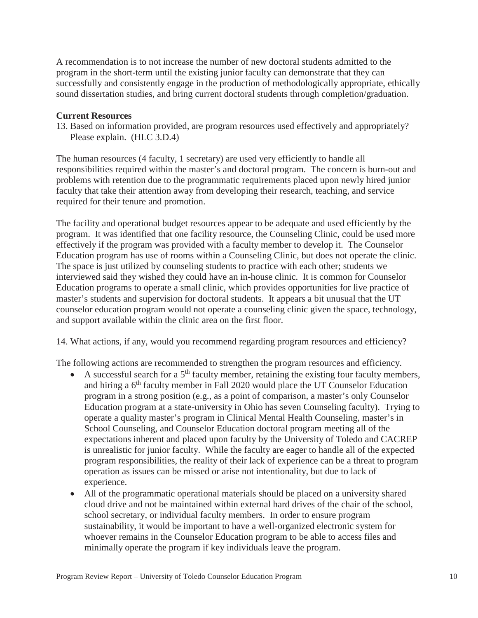A recommendation is to not increase the number of new doctoral students admitted to the program in the short-term until the existing junior faculty can demonstrate that they can successfully and consistently engage in the production of methodologically appropriate, ethically sound dissertation studies, and bring current doctoral students through completion/graduation.

#### **Current Resources**

13. Based on information provided, are program resources used effectively and appropriately? Please explain. (HLC 3.D.4)

The human resources (4 faculty, 1 secretary) are used very efficiently to handle all responsibilities required within the master's and doctoral program. The concern is burn-out and problems with retention due to the programmatic requirements placed upon newly hired junior faculty that take their attention away from developing their research, teaching, and service required for their tenure and promotion.

The facility and operational budget resources appear to be adequate and used efficiently by the program. It was identified that one facility resource, the Counseling Clinic, could be used more effectively if the program was provided with a faculty member to develop it. The Counselor Education program has use of rooms within a Counseling Clinic, but does not operate the clinic. The space is just utilized by counseling students to practice with each other; students we interviewed said they wished they could have an in-house clinic. It is common for Counselor Education programs to operate a small clinic, which provides opportunities for live practice of master's students and supervision for doctoral students. It appears a bit unusual that the UT counselor education program would not operate a counseling clinic given the space, technology, and support available within the clinic area on the first floor.

14. What actions, if any, would you recommend regarding program resources and efficiency?

The following actions are recommended to strengthen the program resources and efficiency.

- A successful search for a  $5<sup>th</sup>$  faculty member, retaining the existing four faculty members, and hiring a 6<sup>th</sup> faculty member in Fall 2020 would place the UT Counselor Education program in a strong position (e.g., as a point of comparison, a master's only Counselor Education program at a state-university in Ohio has seven Counseling faculty). Trying to operate a quality master's program in Clinical Mental Health Counseling, master's in School Counseling, and Counselor Education doctoral program meeting all of the expectations inherent and placed upon faculty by the University of Toledo and CACREP is unrealistic for junior faculty. While the faculty are eager to handle all of the expected program responsibilities, the reality of their lack of experience can be a threat to program operation as issues can be missed or arise not intentionality, but due to lack of experience.
- All of the programmatic operational materials should be placed on a university shared cloud drive and not be maintained within external hard drives of the chair of the school, school secretary, or individual faculty members. In order to ensure program sustainability, it would be important to have a well-organized electronic system for whoever remains in the Counselor Education program to be able to access files and minimally operate the program if key individuals leave the program.